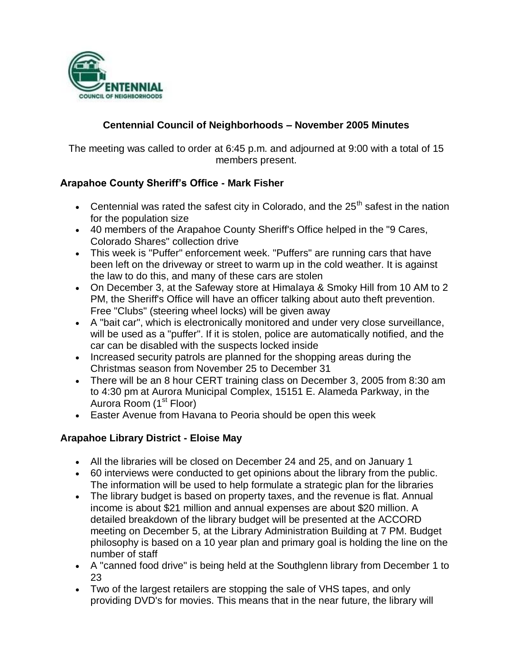

## **Centennial Council of Neighborhoods – November 2005 Minutes**

The meeting was called to order at 6:45 p.m. and adjourned at 9:00 with a total of 15 members present.

### **Arapahoe County Sheriff's Office - Mark Fisher**

- Centennial was rated the safest city in Colorado, and the  $25<sup>th</sup>$  safest in the nation for the population size
- 40 members of the Arapahoe County Sheriff's Office helped in the "9 Cares, Colorado Shares" collection drive
- This week is "Puffer" enforcement week. "Puffers" are running cars that have been left on the driveway or street to warm up in the cold weather. It is against the law to do this, and many of these cars are stolen
- On December 3, at the Safeway store at Himalaya & Smoky Hill from 10 AM to 2 PM, the Sheriff's Office will have an officer talking about auto theft prevention. Free "Clubs" (steering wheel locks) will be given away
- A "bait car", which is electronically monitored and under very close surveillance, will be used as a "puffer". If it is stolen, police are automatically notified, and the car can be disabled with the suspects locked inside
- Increased security patrols are planned for the shopping areas during the Christmas season from November 25 to December 31
- There will be an 8 hour CERT training class on December 3, 2005 from 8:30 am to 4:30 pm at Aurora Municipal Complex, 15151 E. Alameda Parkway, in the Aurora Room (1<sup>st</sup> Floor)
- Easter Avenue from Havana to Peoria should be open this week

### **Arapahoe Library District - Eloise May**

- All the libraries will be closed on December 24 and 25, and on January 1
- 60 interviews were conducted to get opinions about the library from the public. The information will be used to help formulate a strategic plan for the libraries
- The library budget is based on property taxes, and the revenue is flat. Annual income is about \$21 million and annual expenses are about \$20 million. A detailed breakdown of the library budget will be presented at the ACCORD meeting on December 5, at the Library Administration Building at 7 PM. Budget philosophy is based on a 10 year plan and primary goal is holding the line on the number of staff
- A "canned food drive" is being held at the Southglenn library from December 1 to 23
- Two of the largest retailers are stopping the sale of VHS tapes, and only providing DVD's for movies. This means that in the near future, the library will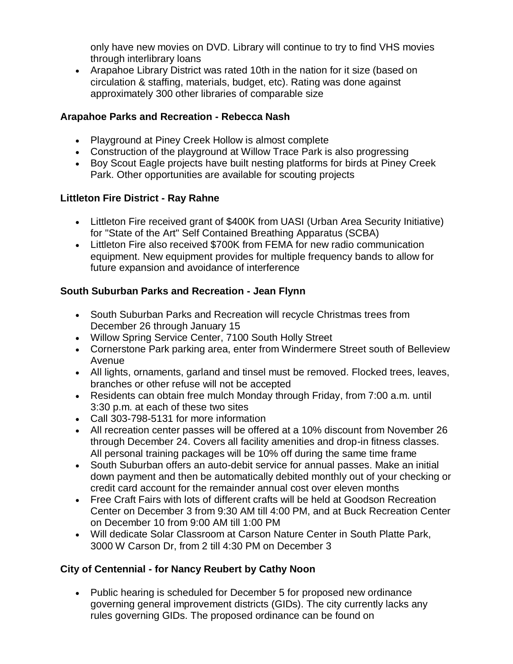only have new movies on DVD. Library will continue to try to find VHS movies through interlibrary loans

 Arapahoe Library District was rated 10th in the nation for it size (based on circulation & staffing, materials, budget, etc). Rating was done against approximately 300 other libraries of comparable size

### **Arapahoe Parks and Recreation - Rebecca Nash**

- Playground at Piney Creek Hollow is almost complete
- Construction of the playground at Willow Trace Park is also progressing
- Boy Scout Eagle projects have built nesting platforms for birds at Piney Creek Park. Other opportunities are available for scouting projects

## **Littleton Fire District - Ray Rahne**

- Littleton Fire received grant of \$400K from UASI (Urban Area Security Initiative) for "State of the Art" Self Contained Breathing Apparatus (SCBA)
- Littleton Fire also received \$700K from FEMA for new radio communication equipment. New equipment provides for multiple frequency bands to allow for future expansion and avoidance of interference

## **South Suburban Parks and Recreation - Jean Flynn**

- South Suburban Parks and Recreation will recycle Christmas trees from December 26 through January 15
- Willow Spring Service Center, 7100 South Holly Street
- Cornerstone Park parking area, enter from Windermere Street south of Belleview Avenue
- All lights, ornaments, garland and tinsel must be removed. Flocked trees, leaves, branches or other refuse will not be accepted
- Residents can obtain free mulch Monday through Friday, from 7:00 a.m. until 3:30 p.m. at each of these two sites
- Call 303-798-5131 for more information
- All recreation center passes will be offered at a 10% discount from November 26 through December 24. Covers all facility amenities and drop-in fitness classes. All personal training packages will be 10% off during the same time frame
- South Suburban offers an auto-debit service for annual passes. Make an initial down payment and then be automatically debited monthly out of your checking or credit card account for the remainder annual cost over eleven months
- Free Craft Fairs with lots of different crafts will be held at Goodson Recreation Center on December 3 from 9:30 AM till 4:00 PM, and at Buck Recreation Center on December 10 from 9:00 AM till 1:00 PM
- Will dedicate Solar Classroom at Carson Nature Center in South Platte Park, 3000 W Carson Dr, from 2 till 4:30 PM on December 3

# **City of Centennial - for Nancy Reubert by Cathy Noon**

 Public hearing is scheduled for December 5 for proposed new ordinance governing general improvement districts (GIDs). The city currently lacks any rules governing GIDs. The proposed ordinance can be found on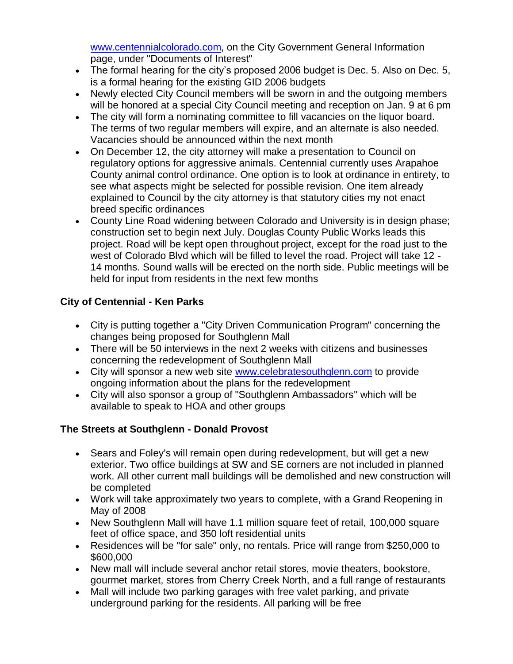www.centennialcolorado.com, on the City Government General Information page, under "Documents of Interest"

- The formal hearing for the city's proposed 2006 budget is Dec. 5. Also on Dec. 5, is a formal hearing for the existing GID 2006 budgets
- Newly elected City Council members will be sworn in and the outgoing members will be honored at a special City Council meeting and reception on Jan. 9 at 6 pm
- The city will form a nominating committee to fill vacancies on the liquor board. The terms of two regular members will expire, and an alternate is also needed. Vacancies should be announced within the next month
- On December 12, the city attorney will make a presentation to Council on regulatory options for aggressive animals. Centennial currently uses Arapahoe County animal control ordinance. One option is to look at ordinance in entirety, to see what aspects might be selected for possible revision. One item already explained to Council by the city attorney is that statutory cities my not enact breed specific ordinances
- County Line Road widening between Colorado and University is in design phase; construction set to begin next July. Douglas County Public Works leads this project. Road will be kept open throughout project, except for the road just to the west of Colorado Blvd which will be filled to level the road. Project will take 12 - 14 months. Sound walls will be erected on the north side. Public meetings will be held for input from residents in the next few months

# **City of Centennial - Ken Parks**

- City is putting together a "City Driven Communication Program" concerning the changes being proposed for Southglenn Mall
- There will be 50 interviews in the next 2 weeks with citizens and businesses concerning the redevelopment of Southglenn Mall
- City will sponsor a new web site www.celebratesouthglenn.com to provide ongoing information about the plans for the redevelopment
- City will also sponsor a group of "Southglenn Ambassadors" which will be available to speak to HOA and other groups

# **The Streets at Southglenn - Donald Provost**

- Sears and Foley's will remain open during redevelopment, but will get a new exterior. Two office buildings at SW and SE corners are not included in planned work. All other current mall buildings will be demolished and new construction will be completed
- Work will take approximately two years to complete, with a Grand Reopening in May of 2008
- New Southglenn Mall will have 1.1 million square feet of retail, 100,000 square feet of office space, and 350 loft residential units
- Residences will be "for sale" only, no rentals. Price will range from \$250,000 to \$600,000
- New mall will include several anchor retail stores, movie theaters, bookstore, gourmet market, stores from Cherry Creek North, and a full range of restaurants
- Mall will include two parking garages with free valet parking, and private underground parking for the residents. All parking will be free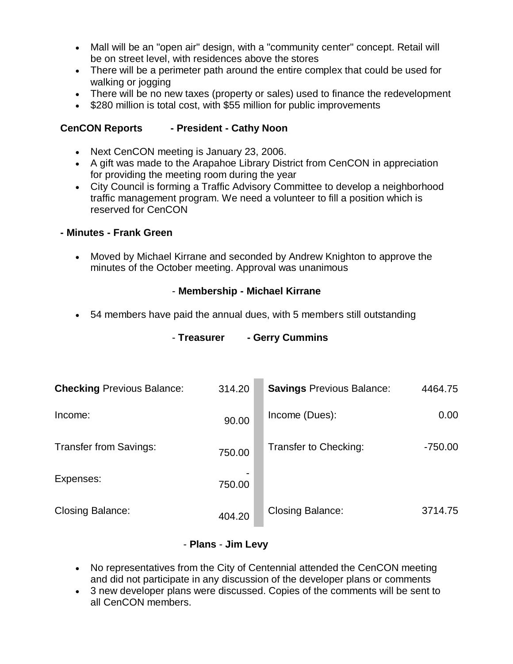- Mall will be an "open air" design, with a "community center" concept. Retail will be on street level, with residences above the stores
- There will be a perimeter path around the entire complex that could be used for walking or jogging
- There will be no new taxes (property or sales) used to finance the redevelopment
- \$280 million is total cost, with \$55 million for public improvements

### **CenCON Reports - President - Cathy Noon**

- Next CenCON meeting is January 23, 2006.
- A gift was made to the Arapahoe Library District from CenCON in appreciation for providing the meeting room during the year
- City Council is forming a Traffic Advisory Committee to develop a neighborhood traffic management program. We need a volunteer to fill a position which is reserved for CenCON

#### **- Minutes - Frank Green**

 Moved by Michael Kirrane and seconded by Andrew Knighton to approve the minutes of the October meeting. Approval was unanimous

### - **Membership - Michael Kirrane**

54 members have paid the annual dues, with 5 members still outstanding

| <b>Checking Previous Balance:</b> | 314.20 | <b>Savings Previous Balance:</b> | 4464.75   |
|-----------------------------------|--------|----------------------------------|-----------|
| Income:                           | 90.00  | Income (Dues):                   | 0.00      |
| <b>Transfer from Savings:</b>     | 750.00 | Transfer to Checking:            | $-750.00$ |
| Expenses:                         | 750.00 |                                  |           |
| <b>Closing Balance:</b>           | 404.20 | <b>Closing Balance:</b>          | 3714.75   |

### - **Treasurer - Gerry Cummins**

#### - **Plans** - **Jim Levy**

- No representatives from the City of Centennial attended the CenCON meeting and did not participate in any discussion of the developer plans or comments
- 3 new developer plans were discussed. Copies of the comments will be sent to all CenCON members.